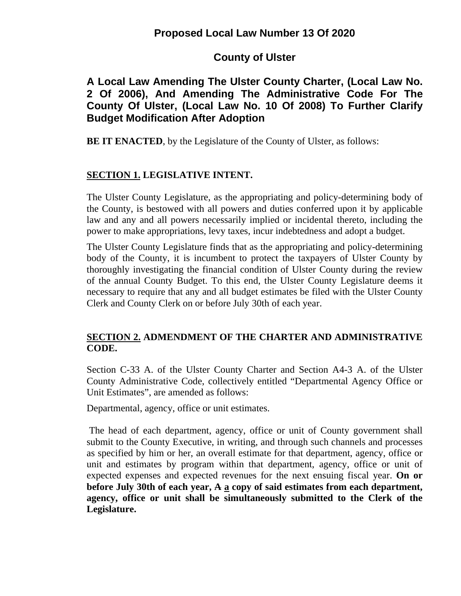# **County of Ulster**

# **A Local Law Amending The Ulster County Charter, (Local Law No. 2 Of 2006), And Amending The Administrative Code For The County Of Ulster, (Local Law No. 10 Of 2008) To Further Clarify Budget Modification After Adoption**

**BE IT ENACTED**, by the Legislature of the County of Ulster, as follows:

## **SECTION 1. LEGISLATIVE INTENT.**

The Ulster County Legislature, as the appropriating and policy-determining body of the County, is bestowed with all powers and duties conferred upon it by applicable law and any and all powers necessarily implied or incidental thereto, including the power to make appropriations, levy taxes, incur indebtedness and adopt a budget.

The Ulster County Legislature finds that as the appropriating and policy-determining body of the County, it is incumbent to protect the taxpayers of Ulster County by thoroughly investigating the financial condition of Ulster County during the review of the annual County Budget. To this end, the Ulster County Legislature deems it necessary to require that any and all budget estimates be filed with the Ulster County Clerk and County Clerk on or before July 30th of each year.

## **SECTION 2. ADMENDMENT OF THE CHARTER AND ADMINISTRATIVE CODE.**

Section C-33 A. of the Ulster County Charter and Section A4-3 A. of the Ulster County Administrative Code, collectively entitled "Departmental Agency Office or Unit Estimates", are amended as follows:

Departmental, agency, office or unit estimates.

The head of each department, agency, office or unit of County government shall submit to the County Executive, in writing, and through such channels and processes as specified by him or her, an overall estimate for that department, agency, office or unit and estimates by program within that department, agency, office or unit of expected expenses and expected revenues for the next ensuing fiscal year. **On or before July 30th of each year, A a copy of said estimates from each department, agency, office or unit shall be simultaneously submitted to the Clerk of the Legislature.**